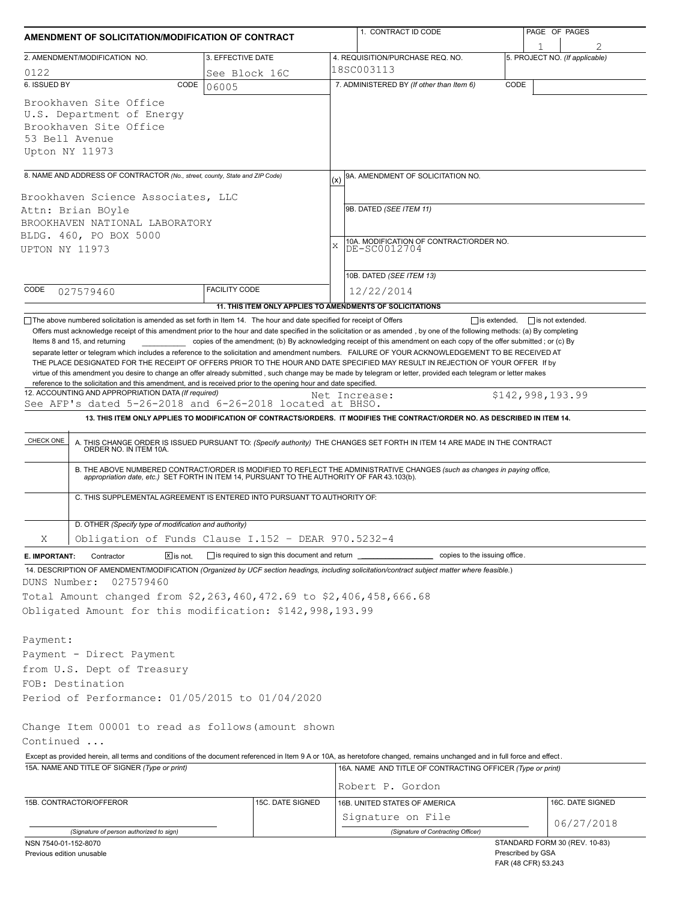| AMENDMENT OF SOLICITATION/MODIFICATION OF CONTRACT                                                                                                                                                                                                                                                                                                                                                                                                                                                                                                                                                            |                                                            | 1. CONTRACT ID CODE                                                                                                                                                                                                      | PAGE OF PAGES                               |  |  |  |  |
|---------------------------------------------------------------------------------------------------------------------------------------------------------------------------------------------------------------------------------------------------------------------------------------------------------------------------------------------------------------------------------------------------------------------------------------------------------------------------------------------------------------------------------------------------------------------------------------------------------------|------------------------------------------------------------|--------------------------------------------------------------------------------------------------------------------------------------------------------------------------------------------------------------------------|---------------------------------------------|--|--|--|--|
| 2. AMENDMENT/MODIFICATION NO.                                                                                                                                                                                                                                                                                                                                                                                                                                                                                                                                                                                 | 3. EFFECTIVE DATE                                          | 4. REQUISITION/PURCHASE REQ. NO.                                                                                                                                                                                         | 1<br>5. PROJECT NO. (If applicable)         |  |  |  |  |
| 0122                                                                                                                                                                                                                                                                                                                                                                                                                                                                                                                                                                                                          | See Block 16C                                              | 18SC003113                                                                                                                                                                                                               |                                             |  |  |  |  |
| 6. ISSUED BY<br>CODE                                                                                                                                                                                                                                                                                                                                                                                                                                                                                                                                                                                          | 06005                                                      | 7. ADMINISTERED BY (If other than Item 6)                                                                                                                                                                                | CODE                                        |  |  |  |  |
| Brookhaven Site Office<br>U.S. Department of Energy<br>Brookhaven Site Office<br>53 Bell Avenue<br>Upton NY 11973                                                                                                                                                                                                                                                                                                                                                                                                                                                                                             |                                                            |                                                                                                                                                                                                                          |                                             |  |  |  |  |
| 8. NAME AND ADDRESS OF CONTRACTOR (No., street, county, State and ZIP Code)                                                                                                                                                                                                                                                                                                                                                                                                                                                                                                                                   |                                                            |                                                                                                                                                                                                                          |                                             |  |  |  |  |
|                                                                                                                                                                                                                                                                                                                                                                                                                                                                                                                                                                                                               |                                                            | 9A. AMENDMENT OF SOLICITATION NO.<br>(x)                                                                                                                                                                                 |                                             |  |  |  |  |
| Brookhaven Science Associates, LLC                                                                                                                                                                                                                                                                                                                                                                                                                                                                                                                                                                            |                                                            |                                                                                                                                                                                                                          |                                             |  |  |  |  |
| Attn: Brian BOyle                                                                                                                                                                                                                                                                                                                                                                                                                                                                                                                                                                                             |                                                            | 9B. DATED (SEE ITEM 11)                                                                                                                                                                                                  |                                             |  |  |  |  |
| BROOKHAVEN NATIONAL LABORATORY                                                                                                                                                                                                                                                                                                                                                                                                                                                                                                                                                                                |                                                            |                                                                                                                                                                                                                          |                                             |  |  |  |  |
| BLDG. 460, PO BOX 5000                                                                                                                                                                                                                                                                                                                                                                                                                                                                                                                                                                                        |                                                            | $\mathbf x$                                                                                                                                                                                                              |                                             |  |  |  |  |
| UPTON NY 11973                                                                                                                                                                                                                                                                                                                                                                                                                                                                                                                                                                                                |                                                            | 10A. MODIFICATION OF CONTRACT/ORDER NO.<br>DE-SC0012704                                                                                                                                                                  |                                             |  |  |  |  |
|                                                                                                                                                                                                                                                                                                                                                                                                                                                                                                                                                                                                               |                                                            | 10B. DATED (SEE ITEM 13)                                                                                                                                                                                                 |                                             |  |  |  |  |
| CODE                                                                                                                                                                                                                                                                                                                                                                                                                                                                                                                                                                                                          | <b>FACILITY CODE</b>                                       |                                                                                                                                                                                                                          |                                             |  |  |  |  |
| 027579460                                                                                                                                                                                                                                                                                                                                                                                                                                                                                                                                                                                                     |                                                            | 12/22/2014                                                                                                                                                                                                               |                                             |  |  |  |  |
| The above numbered solicitation is amended as set forth in Item 14. The hour and date specified for receipt of Offers                                                                                                                                                                                                                                                                                                                                                                                                                                                                                         |                                                            | 11. THIS ITEM ONLY APPLIES TO AMENDMENTS OF SOLICITATIONS                                                                                                                                                                | $\Box$ is extended, $\Box$ is not extended. |  |  |  |  |
| Items 8 and 15, and returning<br>separate letter or telegram which includes a reference to the solicitation and amendment numbers. FAILURE OF YOUR ACKNOWLEDGEMENT TO BE RECEIVED AT<br>THE PLACE DESIGNATED FOR THE RECEIPT OF OFFERS PRIOR TO THE HOUR AND DATE SPECIFIED MAY RESULT IN REJECTION OF YOUR OFFER If by<br>virtue of this amendment you desire to change an offer already submitted, such change may be made by telegram or letter, provided each telegram or letter makes<br>reference to the solicitation and this amendment, and is received prior to the opening hour and date specified. |                                                            | copies of the amendment; (b) By acknowledging receipt of this amendment on each copy of the offer submitted; or (c) By                                                                                                   |                                             |  |  |  |  |
| 12. ACCOUNTING AND APPROPRIATION DATA (If required)<br>See AFP's dated 5-26-2018 and 6-26-2018 located at BHSO.                                                                                                                                                                                                                                                                                                                                                                                                                                                                                               |                                                            | Net Increase:                                                                                                                                                                                                            | \$142,998,193.99                            |  |  |  |  |
|                                                                                                                                                                                                                                                                                                                                                                                                                                                                                                                                                                                                               |                                                            | 13. THIS ITEM ONLY APPLIES TO MODIFICATION OF CONTRACTS/ORDERS. IT MODIFIES THE CONTRACT/ORDER NO. AS DESCRIBED IN ITEM 14.                                                                                              |                                             |  |  |  |  |
| CHECK ONE                                                                                                                                                                                                                                                                                                                                                                                                                                                                                                                                                                                                     |                                                            |                                                                                                                                                                                                                          |                                             |  |  |  |  |
|                                                                                                                                                                                                                                                                                                                                                                                                                                                                                                                                                                                                               |                                                            | A. THIS CHANGE ORDER IS ISSUED PURSUANT TO: (Specify authority) THE CHANGES SET FORTH IN ITEM 14 ARE MADE IN THE CONTRACT ORDER NO. IN ITEM 10A.                                                                         |                                             |  |  |  |  |
|                                                                                                                                                                                                                                                                                                                                                                                                                                                                                                                                                                                                               |                                                            | B. THE ABOVE NUMBERED CONTRACT/ORDER IS MODIFIED TO REFLECT THE ADMINISTRATIVE CHANGES (such as changes in paying office,<br>appropriation date, etc.) SET FORTH IN ITEM 14, PURSUANT TO THE AUTHORITY OF FAR 43.103(b). |                                             |  |  |  |  |
| C. THIS SUPPLEMENTAL AGREEMENT IS ENTERED INTO PURSUANT TO AUTHORITY OF:                                                                                                                                                                                                                                                                                                                                                                                                                                                                                                                                      |                                                            |                                                                                                                                                                                                                          |                                             |  |  |  |  |
| D. OTHER (Specify type of modification and authority)                                                                                                                                                                                                                                                                                                                                                                                                                                                                                                                                                         |                                                            |                                                                                                                                                                                                                          |                                             |  |  |  |  |
| Obligation of Funds Clause I.152 - DEAR 970.5232-4<br>Χ                                                                                                                                                                                                                                                                                                                                                                                                                                                                                                                                                       |                                                            |                                                                                                                                                                                                                          |                                             |  |  |  |  |
| $\boxed{\mathsf{x}}$ is not.<br>Contractor<br>E. IMPORTANT:                                                                                                                                                                                                                                                                                                                                                                                                                                                                                                                                                   | $\Box$ is required to sign this document and return $\Box$ |                                                                                                                                                                                                                          | copies to the issuing office.               |  |  |  |  |
| 14. DESCRIPTION OF AMENDMENT/MODIFICATION (Organized by UCF section headings, including solicitation/contract subject matter where feasible.)                                                                                                                                                                                                                                                                                                                                                                                                                                                                 |                                                            |                                                                                                                                                                                                                          |                                             |  |  |  |  |
| DUNS Number:<br>027579460                                                                                                                                                                                                                                                                                                                                                                                                                                                                                                                                                                                     |                                                            |                                                                                                                                                                                                                          |                                             |  |  |  |  |
| Total Amount changed from \$2,263,460,472.69 to \$2,406,458,666.68                                                                                                                                                                                                                                                                                                                                                                                                                                                                                                                                            |                                                            |                                                                                                                                                                                                                          |                                             |  |  |  |  |
| Obligated Amount for this modification: \$142,998,193.99                                                                                                                                                                                                                                                                                                                                                                                                                                                                                                                                                      |                                                            |                                                                                                                                                                                                                          |                                             |  |  |  |  |
|                                                                                                                                                                                                                                                                                                                                                                                                                                                                                                                                                                                                               |                                                            |                                                                                                                                                                                                                          |                                             |  |  |  |  |
| Payment:                                                                                                                                                                                                                                                                                                                                                                                                                                                                                                                                                                                                      |                                                            |                                                                                                                                                                                                                          |                                             |  |  |  |  |
| Payment - Direct Payment                                                                                                                                                                                                                                                                                                                                                                                                                                                                                                                                                                                      |                                                            |                                                                                                                                                                                                                          |                                             |  |  |  |  |
| from U.S. Dept of Treasury                                                                                                                                                                                                                                                                                                                                                                                                                                                                                                                                                                                    |                                                            |                                                                                                                                                                                                                          |                                             |  |  |  |  |
| FOB: Destination                                                                                                                                                                                                                                                                                                                                                                                                                                                                                                                                                                                              |                                                            |                                                                                                                                                                                                                          |                                             |  |  |  |  |
| Period of Performance: 01/05/2015 to 01/04/2020                                                                                                                                                                                                                                                                                                                                                                                                                                                                                                                                                               |                                                            |                                                                                                                                                                                                                          |                                             |  |  |  |  |
|                                                                                                                                                                                                                                                                                                                                                                                                                                                                                                                                                                                                               |                                                            |                                                                                                                                                                                                                          |                                             |  |  |  |  |
| Change Item 00001 to read as follows (amount shown<br>Continued                                                                                                                                                                                                                                                                                                                                                                                                                                                                                                                                               |                                                            |                                                                                                                                                                                                                          |                                             |  |  |  |  |
| Except as provided herein, all terms and conditions of the document referenced in Item 9 A or 10A, as heretofore changed, remains unchanged and in full force and effect.                                                                                                                                                                                                                                                                                                                                                                                                                                     |                                                            |                                                                                                                                                                                                                          |                                             |  |  |  |  |
| 15A. NAME AND TITLE OF SIGNER (Type or print)                                                                                                                                                                                                                                                                                                                                                                                                                                                                                                                                                                 |                                                            | 16A. NAME AND TITLE OF CONTRACTING OFFICER (Type or print)                                                                                                                                                               |                                             |  |  |  |  |
|                                                                                                                                                                                                                                                                                                                                                                                                                                                                                                                                                                                                               |                                                            |                                                                                                                                                                                                                          |                                             |  |  |  |  |
|                                                                                                                                                                                                                                                                                                                                                                                                                                                                                                                                                                                                               |                                                            | Robert P. Gordon                                                                                                                                                                                                         |                                             |  |  |  |  |
| 15B. CONTRACTOR/OFFEROR                                                                                                                                                                                                                                                                                                                                                                                                                                                                                                                                                                                       | 15C. DATE SIGNED                                           | 16B. UNITED STATES OF AMERICA                                                                                                                                                                                            | 16C. DATE SIGNED                            |  |  |  |  |
|                                                                                                                                                                                                                                                                                                                                                                                                                                                                                                                                                                                                               |                                                            | Signature on File                                                                                                                                                                                                        | 06/27/2018                                  |  |  |  |  |
| (Signature of person authorized to sign)                                                                                                                                                                                                                                                                                                                                                                                                                                                                                                                                                                      |                                                            | (Signature of Contracting Officer)                                                                                                                                                                                       | STANDARD FORM 30 (REV. 10-83)               |  |  |  |  |
| NSN 7540-01-152-8070<br>Previous edition unusable                                                                                                                                                                                                                                                                                                                                                                                                                                                                                                                                                             |                                                            |                                                                                                                                                                                                                          | Prescribed by GSA                           |  |  |  |  |

FAR (48 CFR) 53.243